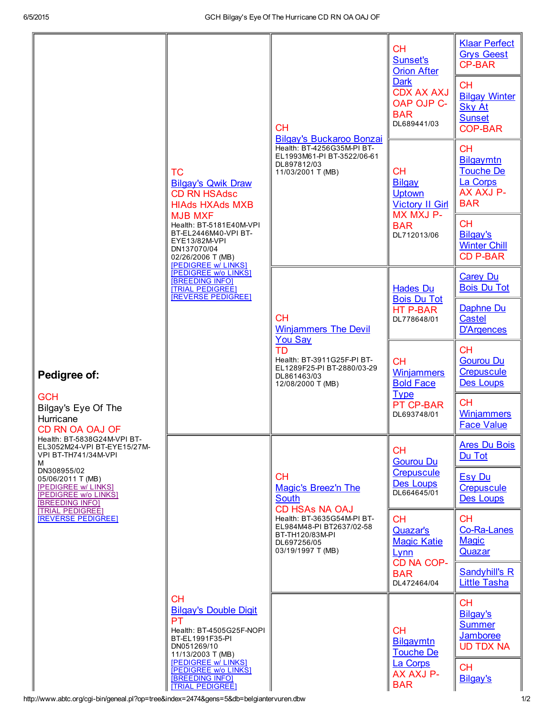|                                                                                                                                                                                                                                                                                                                                                        |                                                                                                                                                                                                                                                                                                                                                              | <b>CH</b><br><b>Bilgay's Buckaroo Bonzai</b>                                                                                                                                               | <b>CH</b><br>Sunset's<br><b>Orion After</b><br><b>Dark</b><br><b>CDX AX AXJ</b><br>OAP OJP C-<br><b>BAR</b><br>DL689441/03 | <b>Klaar Perfect</b><br><b>Grys Geest</b><br><b>CP-BAR</b><br><b>CH</b><br><b>Bilgay Winter</b><br><b>Sky At</b><br><b>Sunset</b><br><b>COP-BAR</b> |
|--------------------------------------------------------------------------------------------------------------------------------------------------------------------------------------------------------------------------------------------------------------------------------------------------------------------------------------------------------|--------------------------------------------------------------------------------------------------------------------------------------------------------------------------------------------------------------------------------------------------------------------------------------------------------------------------------------------------------------|--------------------------------------------------------------------------------------------------------------------------------------------------------------------------------------------|----------------------------------------------------------------------------------------------------------------------------|-----------------------------------------------------------------------------------------------------------------------------------------------------|
| Pedigree of:<br><b>GCH</b><br>Bilgay's Eye Of The<br>Hurricane<br>CD RN OA OAJ OF<br>Health: BT-5838G24M-VPI BT-<br>EL3052M24-VPI BT-EYE15/27M-<br>VPI BT-TH741/34M-VPI<br>м<br>DN308955/02<br>05/06/2011 T (MB)<br><b>[PEDIGREE w/ LINKS]</b><br>[PEDIGREE w/o LINKS]<br><b>BREEDING INFOI</b><br><b>[TRIAL PEDIGREE]</b><br><b>REVERSE PEDIGREE!</b> | <b>TC</b><br><b>Bilgay's Qwik Draw</b><br><b>CD RN HSAdsc</b><br><b>HIAds HXAds MXB</b><br><b>MJB MXF</b><br>Health: BT-5181E40M-VPI<br>BT-EL2446M40-VPI BT-<br>EYE13/82M-VPI<br>DN137070/04<br>02/26/2006 T (MB)<br><b>[PEDIGREE w/ LINKS]</b><br><b>PEDIGREE W/o LINKS</b><br><b>BREEDING INFOI</b><br><b>TRIAL PEDIGREE!</b><br><b>IREVERSE PEDIGREE!</b> | Health: BT-4256G35M-PI BT-<br>EL1993M61-PI BT-3522/06-61<br>DL897812/03<br>11/03/2001 T (MB)                                                                                               | <b>CH</b><br><b>Bilgay</b><br><b>Uptown</b><br><b>Victory II Girl</b><br>MX MXJ P-<br><b>BAR</b><br>DL712013/06            | <b>CH</b><br>Bilgaymtn<br><b>Touche De</b><br>La Corps<br>AX AXJ P-<br><b>BAR</b>                                                                   |
|                                                                                                                                                                                                                                                                                                                                                        |                                                                                                                                                                                                                                                                                                                                                              |                                                                                                                                                                                            |                                                                                                                            | <b>CH</b><br>Bilgay's<br><b>Winter Chill</b><br><b>CD P-BAR</b>                                                                                     |
|                                                                                                                                                                                                                                                                                                                                                        |                                                                                                                                                                                                                                                                                                                                                              | <b>CH</b><br><b>Winjammers The Devil</b><br><b>You Sav</b><br>TD<br>Health: BT-3911G25F-PI BT-<br>EL1289F25-PI BT-2880/03-29<br>DL861463/03<br>12/08/2000 T (MB)                           | <b>Hades Du</b><br><b>Bois Du Tot</b><br><b>HT P-BAR</b><br>DL778648/01                                                    | <b>Carey Du</b><br><b>Bois Du Tot</b>                                                                                                               |
|                                                                                                                                                                                                                                                                                                                                                        |                                                                                                                                                                                                                                                                                                                                                              |                                                                                                                                                                                            |                                                                                                                            | Daphne Du<br>Castel<br><b>D'Argences</b>                                                                                                            |
|                                                                                                                                                                                                                                                                                                                                                        |                                                                                                                                                                                                                                                                                                                                                              |                                                                                                                                                                                            | <b>CH</b><br><b>Winjammers</b><br><b>Bold Face</b><br><b>Type</b><br>PT CP-BAR<br>DL693748/01                              | <b>CH</b><br><b>Gourou Du</b><br>Crepuscule<br><b>Des Loups</b>                                                                                     |
|                                                                                                                                                                                                                                                                                                                                                        |                                                                                                                                                                                                                                                                                                                                                              |                                                                                                                                                                                            |                                                                                                                            | <b>CH</b><br><b>Winjammers</b><br><b>Face Value</b>                                                                                                 |
|                                                                                                                                                                                                                                                                                                                                                        | <b>CH</b><br><b>Bilgay's Double Digit</b><br><b>PT</b><br>Health: BT-4505G25F-NOPI<br>BT-EL1991F35-PI<br>DN051269/10<br>11/13/2003 T (MB)<br>[PEDIGREE w/ LINKS]<br><b>IPEDIGREE W/o LINKS1</b><br><b>BREEDING INFO]</b><br><b>TRIAL PEDIGREE!</b>                                                                                                           | <b>CH</b><br>Magic's Breez'n The<br><b>South</b><br><b>CD HSAS NA OAJ</b><br>Health: BT-3635G54M-PI BT-<br>EL984M48-PI BT2637/02-58<br>BT-TH120/83M-PI<br>DL697256/05<br>03/19/1997 T (MB) | <b>CH</b><br><b>Gourou Du</b><br><b>Crepuscule</b><br>Des Loups<br>DL664645/01                                             | <b>Ares Du Bois</b><br>Du Tot                                                                                                                       |
|                                                                                                                                                                                                                                                                                                                                                        |                                                                                                                                                                                                                                                                                                                                                              |                                                                                                                                                                                            |                                                                                                                            | <b>Esy Du</b><br><b>Crepuscule</b><br><b>Des Loups</b>                                                                                              |
|                                                                                                                                                                                                                                                                                                                                                        |                                                                                                                                                                                                                                                                                                                                                              |                                                                                                                                                                                            | <b>CH</b><br><b>Quazar's</b><br><b>Magic Katie</b><br>Lynn<br>CD NA COP-<br><b>BAR</b><br>DL472464/04                      | <b>CH</b><br>Co-Ra-Lanes<br><b>Magic</b><br>Quazar                                                                                                  |
|                                                                                                                                                                                                                                                                                                                                                        |                                                                                                                                                                                                                                                                                                                                                              |                                                                                                                                                                                            |                                                                                                                            | <b>Sandyhill's R</b><br><b>Little Tasha</b>                                                                                                         |
|                                                                                                                                                                                                                                                                                                                                                        |                                                                                                                                                                                                                                                                                                                                                              |                                                                                                                                                                                            | CH.<br><b>Bilgaymtn</b><br><b>Touche De</b><br>La Corps<br>AX AXJ P-<br><b>BAR</b>                                         | <b>CH</b><br>Bilgay's<br><b>Summer</b><br>Jamboree<br><b>UD TDX NA</b>                                                                              |
|                                                                                                                                                                                                                                                                                                                                                        |                                                                                                                                                                                                                                                                                                                                                              |                                                                                                                                                                                            |                                                                                                                            | <b>CH</b><br>Bilgay's                                                                                                                               |